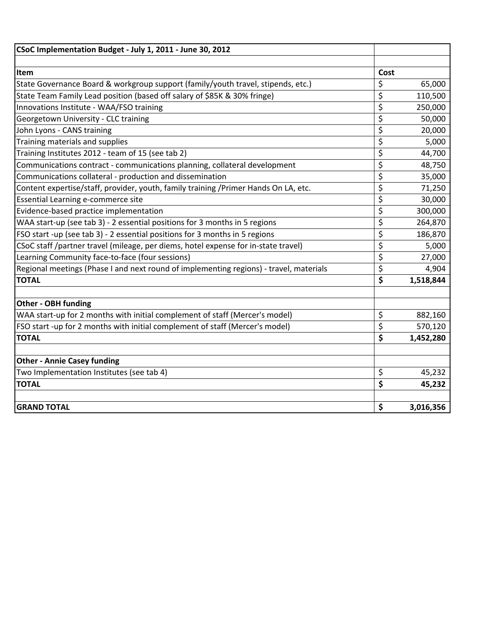| CSoC Implementation Budget - July 1, 2011 - June 30, 2012                              |      |           |
|----------------------------------------------------------------------------------------|------|-----------|
|                                                                                        |      |           |
| Item                                                                                   | Cost |           |
| State Governance Board & workgroup support (family/youth travel, stipends, etc.)       | \$   | 65,000    |
| State Team Family Lead position (based off salary of \$85K & 30% fringe)               | \$   | 110,500   |
| Innovations Institute - WAA/FSO training                                               | \$   | 250,000   |
| Georgetown University - CLC training                                                   | \$   | 50,000    |
| John Lyons - CANS training                                                             | \$   | 20,000    |
| Training materials and supplies                                                        | \$   | 5,000     |
| Training Institutes 2012 - team of 15 (see tab 2)                                      | \$   | 44,700    |
| Communications contract - communications planning, collateral development              | \$   | 48,750    |
| Communications collateral - production and dissemination                               | \$   | 35,000    |
| Content expertise/staff, provider, youth, family training /Primer Hands On LA, etc.    | \$   | 71,250    |
| Essential Learning e-commerce site                                                     | \$   | 30,000    |
| Evidence-based practice implementation                                                 | \$   | 300,000   |
| WAA start-up (see tab 3) - 2 essential positions for 3 months in 5 regions             | \$   | 264,870   |
| FSO start -up (see tab 3) - 2 essential positions for 3 months in 5 regions            | \$   | 186,870   |
| CSoC staff /partner travel (mileage, per diems, hotel expense for in-state travel)     | \$   | 5,000     |
| Learning Community face-to-face (four sessions)                                        | \$   | 27,000    |
| Regional meetings (Phase I and next round of implementing regions) - travel, materials | \$   | 4,904     |
| <b>TOTAL</b>                                                                           | \$   | 1,518,844 |
|                                                                                        |      |           |
| <b>Other - OBH funding</b>                                                             |      |           |
| WAA start-up for 2 months with initial complement of staff (Mercer's model)            | \$   | 882,160   |
| FSO start -up for 2 months with initial complement of staff (Mercer's model)           | \$   | 570,120   |
| <b>TOTAL</b>                                                                           | \$   | 1,452,280 |
|                                                                                        |      |           |
| <b>Other - Annie Casey funding</b>                                                     |      |           |
| Two Implementation Institutes (see tab 4)                                              | \$   | 45,232    |
| <b>TOTAL</b>                                                                           | \$   | 45,232    |
|                                                                                        |      |           |
| <b>GRAND TOTAL</b>                                                                     | \$   | 3,016,356 |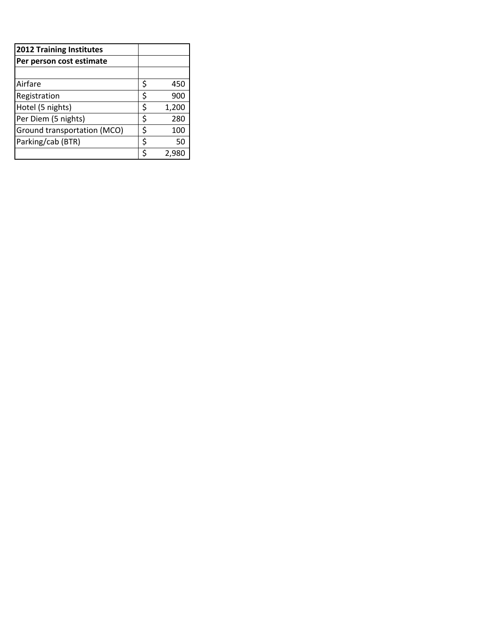| <b>2012 Training Institutes</b> |    |       |
|---------------------------------|----|-------|
| Per person cost estimate        |    |       |
|                                 |    |       |
| Airfare                         | Ś  | 450   |
| Registration                    | \$ | 900   |
| Hotel (5 nights)                | \$ | 1,200 |
| Per Diem (5 nights)             | \$ | 280   |
| Ground transportation (MCO)     | \$ | 100   |
| Parking/cab (BTR)               | \$ | 50    |
|                                 |    | 2.98  |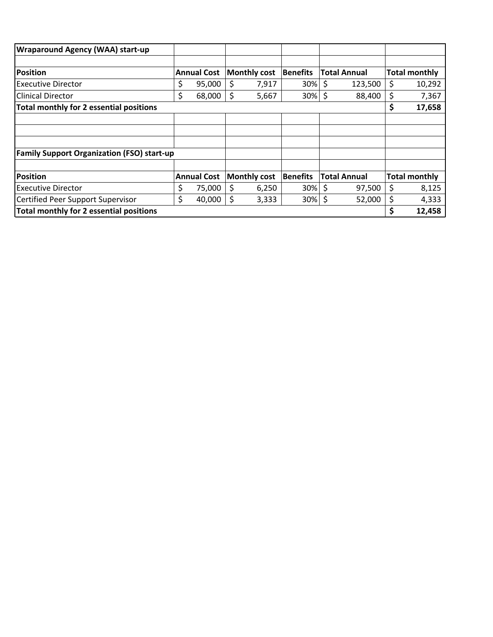| <b>Wraparound Agency (WAA) start-up</b>           |                    |    |                     |                 |                     |    |                      |
|---------------------------------------------------|--------------------|----|---------------------|-----------------|---------------------|----|----------------------|
|                                                   |                    |    |                     |                 |                     |    |                      |
| <b>Position</b>                                   | <b>Annual Cost</b> |    | <b>Monthly cost</b> | <b>Benefits</b> | <b>Total Annual</b> |    | <b>Total monthly</b> |
| <b>Executive Director</b>                         | \$<br>95,000       | \$ | 7,917               | $30\%$ \$       | 123,500             | \$ | 10,292               |
| <b>Clinical Director</b>                          | \$<br>68,000       | \$ | 5,667               | $30\%$ \$       | 88,400              | \$ | 7,367                |
| Total monthly for 2 essential positions           |                    |    |                     |                 |                     | \$ | 17,658               |
|                                                   |                    |    |                     |                 |                     |    |                      |
|                                                   |                    |    |                     |                 |                     |    |                      |
|                                                   |                    |    |                     |                 |                     |    |                      |
| <b>Family Support Organization (FSO) start-up</b> |                    |    |                     |                 |                     |    |                      |
|                                                   |                    |    |                     |                 |                     |    |                      |
| <b>Position</b>                                   | <b>Annual Cost</b> |    | <b>Monthly cost</b> | Benefits        | <b>Total Annual</b> |    | <b>Total monthly</b> |
| <b>Executive Director</b>                         | \$<br>75,000       | Ś  | 6,250               | 30%             | \$<br>97,500        | \$ | 8,125                |
| Certified Peer Support Supervisor                 | \$<br>40,000       | \$ | 3,333               | 30%             | \$<br>52,000        | \$ | 4,333                |
| Total monthly for 2 essential positions           |                    |    |                     |                 |                     | Ś  | 12,458               |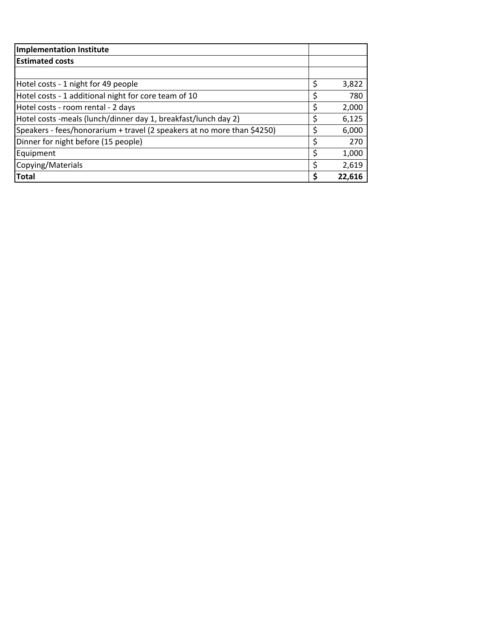| <b>Implementation Institute</b>                                         |    |        |
|-------------------------------------------------------------------------|----|--------|
| <b>Estimated costs</b>                                                  |    |        |
|                                                                         |    |        |
| Hotel costs - 1 night for 49 people                                     | \$ | 3,822  |
| Hotel costs - 1 additional night for core team of 10                    |    | 780    |
| Hotel costs - room rental - 2 days                                      | Ş  | 2,000  |
| Hotel costs -meals (lunch/dinner day 1, breakfast/lunch day 2)          |    | 6,125  |
| Speakers - fees/honorarium + travel (2 speakers at no more than \$4250) |    | 6,000  |
| Dinner for night before (15 people)                                     | \$ | 270    |
| Equipment                                                               | \$ | 1,000  |
| Copying/Materials                                                       | \$ | 2,619  |
| <b>Total</b>                                                            |    | 22.616 |